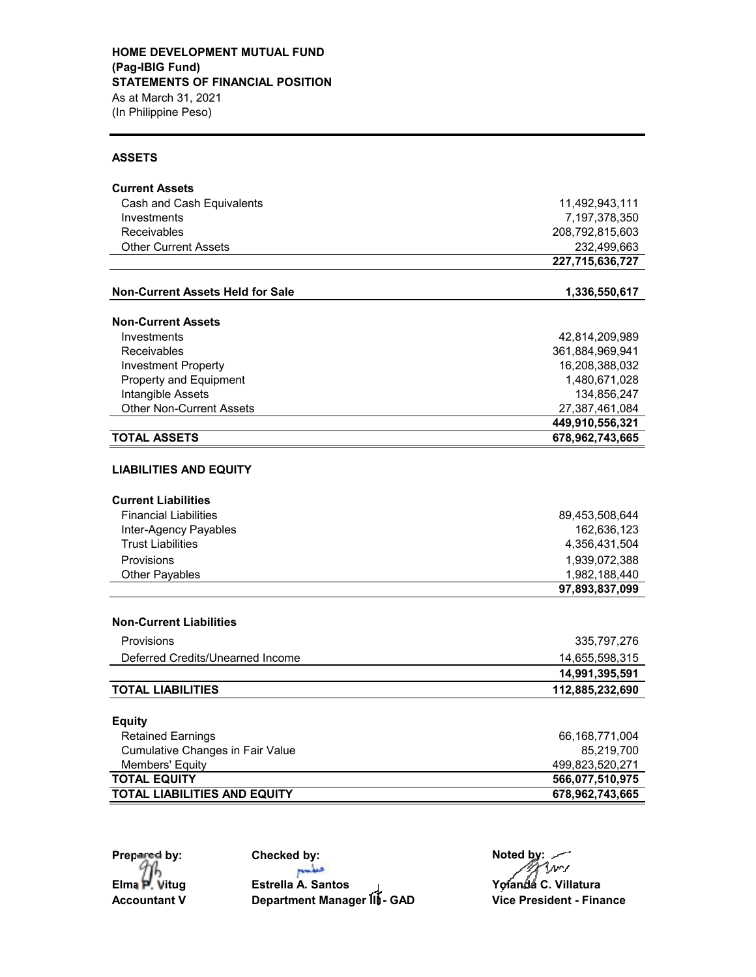#### **ASSETS**

| <b>Current Assets</b>                                      |                                 |  |  |
|------------------------------------------------------------|---------------------------------|--|--|
| Cash and Cash Equivalents                                  | 11,492,943,111                  |  |  |
| Investments                                                | 7,197,378,350                   |  |  |
| Receivables                                                | 208,792,815,603                 |  |  |
| <b>Other Current Assets</b>                                | 232,499,663                     |  |  |
|                                                            | 227,715,636,727                 |  |  |
| <b>Non-Current Assets Held for Sale</b>                    | 1,336,550,617                   |  |  |
| <b>Non-Current Assets</b>                                  |                                 |  |  |
| Investments                                                | 42,814,209,989                  |  |  |
| Receivables                                                | 361,884,969,941                 |  |  |
| <b>Investment Property</b>                                 | 16,208,388,032                  |  |  |
| Property and Equipment                                     | 1,480,671,028                   |  |  |
| Intangible Assets                                          | 134,856,247                     |  |  |
| <b>Other Non-Current Assets</b>                            | 27,387,461,084                  |  |  |
|                                                            | 449,910,556,321                 |  |  |
| <b>TOTAL ASSETS</b>                                        | 678,962,743,665                 |  |  |
| <b>LIABILITIES AND EQUITY</b>                              |                                 |  |  |
| <b>Current Liabilities</b>                                 |                                 |  |  |
| <b>Financial Liabilities</b>                               | 89,453,508,644                  |  |  |
| Inter-Agency Payables                                      | 162,636,123                     |  |  |
| <b>Trust Liabilities</b>                                   | 4,356,431,504                   |  |  |
| Provisions                                                 | 1,939,072,388                   |  |  |
| <b>Other Payables</b>                                      | 1,982,188,440<br>97,893,837,099 |  |  |
|                                                            |                                 |  |  |
| <b>Non-Current Liabilities</b>                             |                                 |  |  |
| Provisions                                                 | 335,797,276                     |  |  |
| Deferred Credits/Unearned Income                           | 14,655,598,315                  |  |  |
|                                                            | 14,991,395,591                  |  |  |
| <b>TOTAL LIABILITIES</b>                                   | 112,885,232,690                 |  |  |
|                                                            |                                 |  |  |
| <b>Equity</b>                                              |                                 |  |  |
| <b>Retained Earnings</b>                                   | 66,168,771,004                  |  |  |
| <b>Cumulative Changes in Fair Value</b>                    | 85,219,700                      |  |  |
| Members' Equity                                            | 499,823,520,271                 |  |  |
| <b>TOTAL EQUITY</b><br><b>TOTAL LIABILITIES AND EQUITY</b> | 566,077,510,975                 |  |  |
|                                                            | 678,962,743,665                 |  |  |

97h

pulse

**Elma P. Vitug Estrella A. Santos Yolanda C. Villatura Accountant V Department Manager III** - GAD **Vice President - Finance** 

**Prepared by: Checked by: Noted by: Noted by: Prepared by: Propared by: Propared by: Propared by: Propared by: Propared by: Propared by: Propared by: Propared by: Propared by: Propared by: Pro**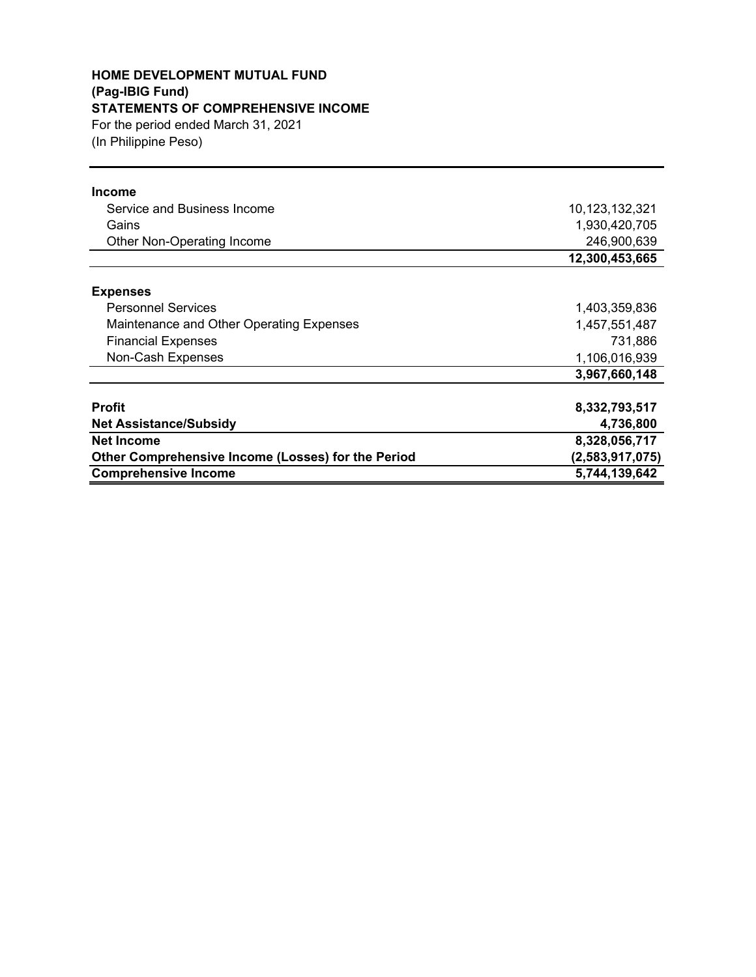# **HOME DEVELOPMENT MUTUAL FUND (Pag-IBIG Fund) STATEMENTS OF COMPREHENSIVE INCOME**

(In Philippine Peso) For the period ended March 31, 2021

| <b>Income</b>                                      |                 |
|----------------------------------------------------|-----------------|
| Service and Business Income                        | 10,123,132,321  |
| Gains                                              | 1,930,420,705   |
| Other Non-Operating Income                         | 246,900,639     |
|                                                    | 12,300,453,665  |
| <b>Expenses</b>                                    |                 |
| <b>Personnel Services</b>                          | 1,403,359,836   |
| Maintenance and Other Operating Expenses           | 1,457,551,487   |
| <b>Financial Expenses</b>                          | 731,886         |
| Non-Cash Expenses                                  | 1,106,016,939   |
|                                                    | 3,967,660,148   |
| <b>Profit</b>                                      | 8,332,793,517   |
| <b>Net Assistance/Subsidy</b>                      | 4,736,800       |
| <b>Net Income</b>                                  | 8,328,056,717   |
| Other Comprehensive Income (Losses) for the Period | (2,583,917,075) |
| <b>Comprehensive Income</b>                        | 5,744,139,642   |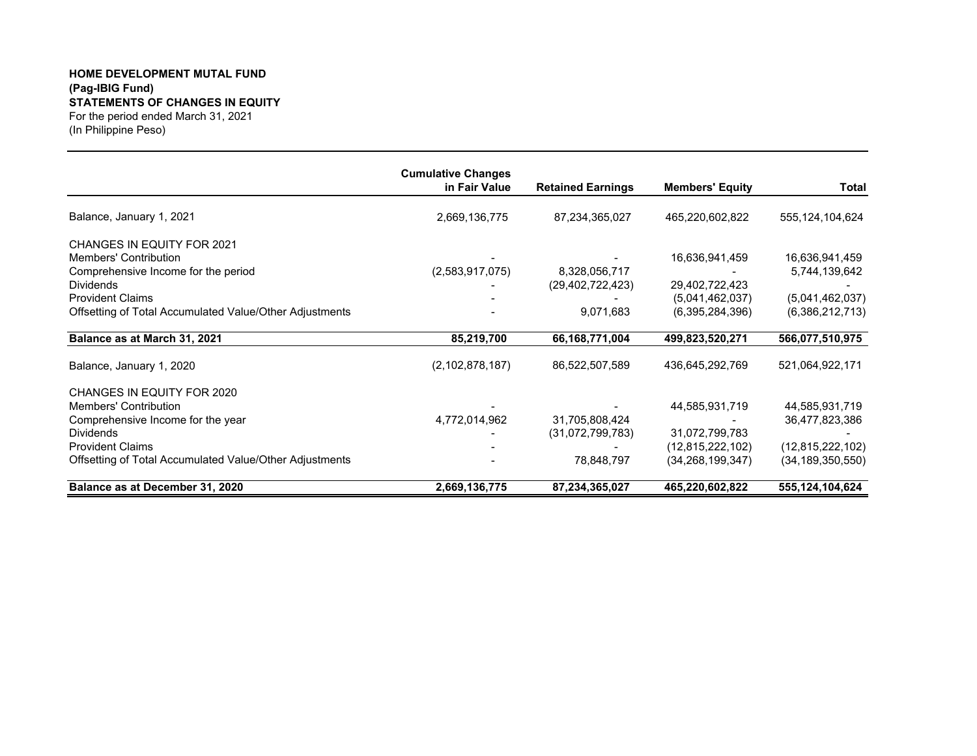#### **HOME DEVELOPMENT MUTAL FUND (Pag-IBIG Fund) STATEMENTS OF CHANGES IN EQUITY** For the period ended March 31, 2021

(In Philippine Peso)

|                                                         | <b>Cumulative Changes</b> |                          |                        |                     |
|---------------------------------------------------------|---------------------------|--------------------------|------------------------|---------------------|
|                                                         | in Fair Value             | <b>Retained Earnings</b> | <b>Members' Equity</b> | Total               |
| Balance, January 1, 2021                                | 2,669,136,775             | 87,234,365,027           | 465,220,602,822        | 555,124,104,624     |
| <b>CHANGES IN EQUITY FOR 2021</b>                       |                           |                          |                        |                     |
| Members' Contribution                                   |                           |                          | 16,636,941,459         | 16,636,941,459      |
| Comprehensive Income for the period                     | (2,583,917,075)           | 8,328,056,717            |                        | 5,744,139,642       |
| <b>Dividends</b>                                        |                           | (29, 402, 722, 423)      | 29,402,722,423         |                     |
| <b>Provident Claims</b>                                 |                           |                          | (5,041,462,037)        | (5,041,462,037)     |
| Offsetting of Total Accumulated Value/Other Adjustments |                           | 9,071,683                | (6,395,284,396)        | (6,386,212,713)     |
| Balance as at March 31, 2021                            | 85,219,700                | 66, 168, 771, 004        | 499,823,520,271        | 566,077,510,975     |
| Balance, January 1, 2020                                | (2, 102, 878, 187)        | 86,522,507,589           | 436,645,292,769        | 521,064,922,171     |
| CHANGES IN EQUITY FOR 2020                              |                           |                          |                        |                     |
| <b>Members' Contribution</b>                            |                           |                          | 44,585,931,719         | 44,585,931,719      |
| Comprehensive Income for the year                       | 4,772,014,962             | 31,705,808,424           |                        | 36,477,823,386      |
| <b>Dividends</b>                                        |                           | (31,072,799,783)         | 31,072,799,783         |                     |
| <b>Provident Claims</b>                                 |                           |                          | (12,815,222,102)       | (12,815,222,102)    |
| Offsetting of Total Accumulated Value/Other Adjustments |                           | 78,848,797               | (34, 268, 199, 347)    | (34, 189, 350, 550) |
| Balance as at December 31, 2020                         | 2,669,136,775             | 87,234,365,027           | 465,220,602,822        | 555,124,104,624     |